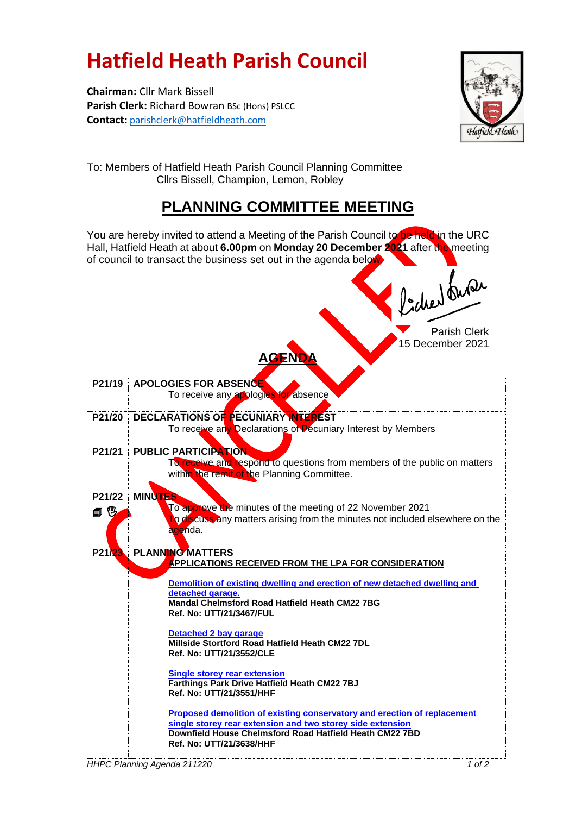## **Hatfield Heath Parish Council**

**Chairman:** Cllr Mark Bissell **Parish Clerk:** Richard Bowran BSc (Hons) PSLCC **Contact:** [parishclerk@hatfieldheath.com](mailto:parishclerk@hatfieldheath.com)



To: Members of Hatfield Heath Parish Council Planning Committee Cllrs Bissell, Champion, Lemon, Robley

## **PLANNING COMMITTEE MEETING**

You are hereby invited to attend a Meeting of the Parish Council to be held in the URC Hall, Hatfield Heath at about **6.00pm** on **Monday 20 December 2021** after the meeting of council to transact the business set out in the agenda below. Proced burde Parish Clerk 15 December 2021 **AGENDA P21/19 APOLOGIES FOR ABSENCE** To receive any applogies for absence **P21/20 DECLARATIONS OF PECUNIARY INTEREST** To receive any Declarations of Pecuniary Interest by Members **P21/21 PUBLIC PARTICIPATION** To receive and respond to questions from members of the public on matters within the remit of the Planning Committee. **P21/22 MINUTE** To approve the minutes of the meeting of 22 November 2021 自愧 To discuss any matters arising from the minutes not included elsewhere on the agenda. **P21/23 PLANNING MATTERS APPLICATIONS RECEIVED FROM THE LPA FOR CONSIDERATION [Demolition of existing dwelling and erection of new detached dwelling and](https://publicaccess.uttlesford.gov.uk/online-applications/applicationDetails.do?activeTab=summary&keyVal=R2ZEKXQNHZD00&prevPage=inTray)  [detached garage.](https://publicaccess.uttlesford.gov.uk/online-applications/applicationDetails.do?activeTab=summary&keyVal=R2ZEKXQNHZD00&prevPage=inTray) Mandal Chelmsford Road Hatfield Heath CM22 7BG Ref. No: UTT/21/3467/FUL [Detached 2 bay garage](https://publicaccess.uttlesford.gov.uk/online-applications/applicationDetails.do?activeTab=summary&keyVal=R3CEOPQNI8900&prevPage=inTray) Millside Stortford Road Hatfield Heath CM22 7DL Ref. No: UTT/21/3552/CLE [Single storey rear extension](https://publicaccess.uttlesford.gov.uk/online-applications/applicationDetails.do?activeTab=summary&keyVal=R3CBXZQNI8500&prevPage=inTray) Farthings Park Drive Hatfield Heath CM22 7BJ Ref. No: UTT/21/3551/HHF [Proposed demolition of existing conservatory and erection of replacement](https://publicaccess.uttlesford.gov.uk/online-applications/applicationDetails.do?activeTab=summary&keyVal=R3SC62QNIHK00&prevPage=inTray)  [single storey rear extension and two storey side extension](https://publicaccess.uttlesford.gov.uk/online-applications/applicationDetails.do?activeTab=summary&keyVal=R3SC62QNIHK00&prevPage=inTray) Downfield House Chelmsford Road Hatfield Heath CM22 7BD Ref. No: UTT/21/3638/HHF**